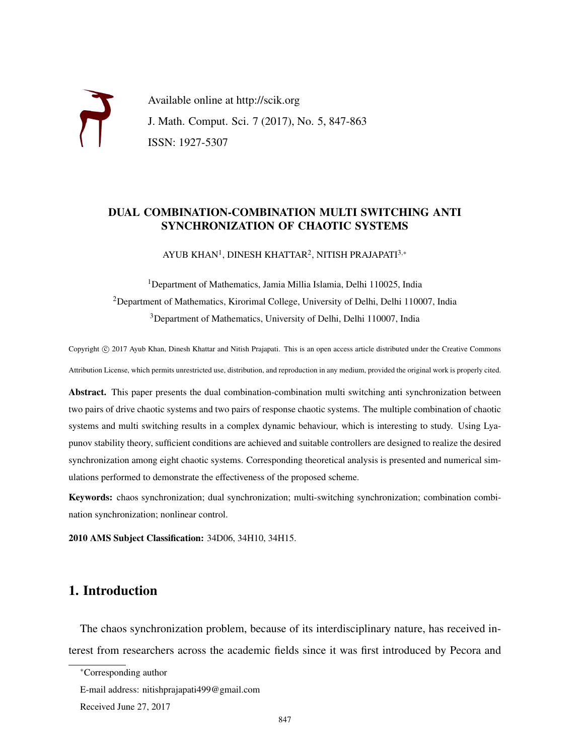Available online at http://scik.org J. Math. Comput. Sci. 7 (2017), No. 5, 847-863 ISSN: 1927-5307

#### DUAL COMBINATION-COMBINATION MULTI SWITCHING ANTI SYNCHRONIZATION OF CHAOTIC SYSTEMS

AYUB KHAN<sup>1</sup>, DINESH KHATTAR<sup>2</sup>, NITISH PRAJAPATI<sup>3,∗</sup>

<sup>1</sup>Department of Mathematics, Jamia Millia Islamia, Delhi 110025, India <sup>2</sup>Department of Mathematics, Kirorimal College, University of Delhi, Delhi 110007, India <sup>3</sup>Department of Mathematics, University of Delhi, Delhi 110007, India

Copyright © 2017 Ayub Khan, Dinesh Khattar and Nitish Prajapati. This is an open access article distributed under the Creative Commons Attribution License, which permits unrestricted use, distribution, and reproduction in any medium, provided the original work is properly cited.

Abstract. This paper presents the dual combination-combination multi switching anti synchronization between two pairs of drive chaotic systems and two pairs of response chaotic systems. The multiple combination of chaotic systems and multi switching results in a complex dynamic behaviour, which is interesting to study. Using Lyapunov stability theory, sufficient conditions are achieved and suitable controllers are designed to realize the desired synchronization among eight chaotic systems. Corresponding theoretical analysis is presented and numerical simulations performed to demonstrate the effectiveness of the proposed scheme.

Keywords: chaos synchronization; dual synchronization; multi-switching synchronization; combination combination synchronization; nonlinear control.

2010 AMS Subject Classification: 34D06, 34H10, 34H15.

## 1. Introduction

The chaos synchronization problem, because of its interdisciplinary nature, has received interest from researchers across the academic fields since it was first introduced by Pecora and

<sup>∗</sup>Corresponding author

E-mail address: nitishprajapati499@gmail.com

Received June 27, 2017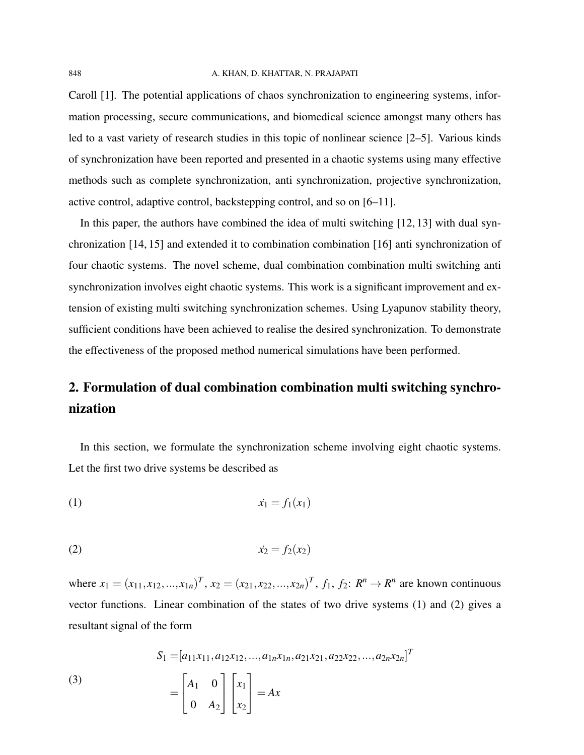Caroll [1]. The potential applications of chaos synchronization to engineering systems, information processing, secure communications, and biomedical science amongst many others has led to a vast variety of research studies in this topic of nonlinear science [2–5]. Various kinds of synchronization have been reported and presented in a chaotic systems using many effective methods such as complete synchronization, anti synchronization, projective synchronization, active control, adaptive control, backstepping control, and so on [6–11].

In this paper, the authors have combined the idea of multi switching [12, 13] with dual synchronization [14, 15] and extended it to combination combination [16] anti synchronization of four chaotic systems. The novel scheme, dual combination combination multi switching anti synchronization involves eight chaotic systems. This work is a significant improvement and extension of existing multi switching synchronization schemes. Using Lyapunov stability theory, sufficient conditions have been achieved to realise the desired synchronization. To demonstrate the effectiveness of the proposed method numerical simulations have been performed.

# 2. Formulation of dual combination combination multi switching synchronization

In this section, we formulate the synchronization scheme involving eight chaotic systems. Let the first two drive systems be described as

(1) ˙*x*<sup>1</sup> = *f*1(*x*1)

(2) ˙*x*<sup>2</sup> = *f*2(*x*2)

where  $x_1 = (x_{11}, x_{12}, ..., x_{1n})^T$ ,  $x_2 = (x_{21}, x_{22}, ..., x_{2n})^T$ ,  $f_1, f_2: R^n \rightarrow R^n$  are known continuous vector functions. Linear combination of the states of two drive systems (1) and (2) gives a resultant signal of the form

(3)  

$$
S_1 = [a_{11}x_{11}, a_{12}x_{12}, ..., a_{1n}x_{1n}, a_{21}x_{21}, a_{22}x_{22}, ..., a_{2n}x_{2n}]^T
$$

$$
= \begin{bmatrix} A_1 & 0 \\ 0 & A_2 \end{bmatrix} \begin{bmatrix} x_1 \\ x_2 \end{bmatrix} = Ax
$$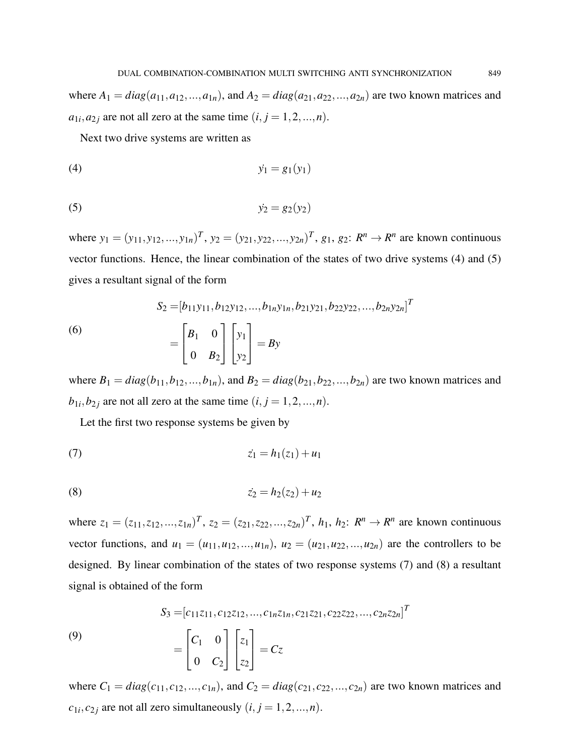where  $A_1 = diag(a_{11}, a_{12},..., a_{1n})$ , and  $A_2 = diag(a_{21}, a_{22},..., a_{2n})$  are two known matrices and  $a_{1i}, a_{2j}$  are not all zero at the same time  $(i, j = 1, 2, ..., n)$ .

Next two drive systems are written as

$$
(4) \hspace{3.1em} \dot{y}_1 = g_1(y_1)
$$

$$
y_2 = g_2(y_2)
$$

where  $y_1 = (y_{11}, y_{12}, ..., y_{1n})^T$ ,  $y_2 = (y_{21}, y_{22}, ..., y_{2n})^T$ ,  $g_1, g_2: R^n \rightarrow R^n$  are known continuous vector functions. Hence, the linear combination of the states of two drive systems (4) and (5) gives a resultant signal of the form

(6)  

$$
S_2 = [b_{11}y_{11}, b_{12}y_{12}, ..., b_{1n}y_{1n}, b_{21}y_{21}, b_{22}y_{22}, ..., b_{2n}y_{2n}]^T
$$

$$
= \begin{bmatrix} B_1 & 0 \\ 0 & B_2 \end{bmatrix} \begin{bmatrix} y_1 \\ y_2 \end{bmatrix} = By
$$

where  $B_1 = diag(b_{11}, b_{12},...,b_{1n})$ , and  $B_2 = diag(b_{21}, b_{22},...,b_{2n})$  are two known matrices and  $b_{1i}$ ,  $b_{2j}$  are not all zero at the same time  $(i, j = 1, 2, ..., n)$ .

Let the first two response systems be given by

(7) 
$$
\dot{z_1} = h_1(z_1) + u_1
$$

(8) 
$$
\dot{z_2} = h_2(z_2) + u_2
$$

where  $z_1 = (z_{11}, z_{12}, ..., z_{1n})^T$ ,  $z_2 = (z_{21}, z_{22}, ..., z_{2n})^T$ ,  $h_1, h_2$ :  $R^n \to R^n$  are known continuous vector functions, and  $u_1 = (u_{11}, u_{12},...,u_{1n})$ ,  $u_2 = (u_{21}, u_{22},...,u_{2n})$  are the controllers to be designed. By linear combination of the states of two response systems (7) and (8) a resultant signal is obtained of the form

(9)  
\n
$$
S_3 = [c_{11}z_{11}, c_{12}z_{12}, ..., c_{1n}z_{1n}, c_{21}z_{21}, c_{22}z_{22}, ..., c_{2n}z_{2n}]^T
$$
\n
$$
= \begin{bmatrix} C_1 & 0 \\ 0 & C_2 \end{bmatrix} \begin{bmatrix} z_1 \\ z_2 \end{bmatrix} = Cz
$$

where  $C_1 = diag(c_{11}, c_{12},...,c_{1n})$ , and  $C_2 = diag(c_{21}, c_{22},...,c_{2n})$  are two known matrices and  $c_{1i}, c_{2j}$  are not all zero simultaneously  $(i, j = 1, 2, ..., n)$ .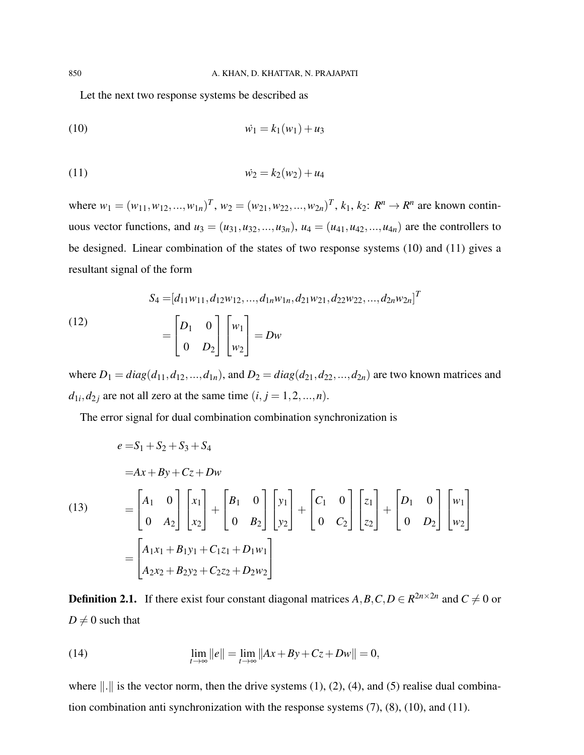Let the next two response systems be described as

(10) 
$$
\dot{w_1} = k_1(w_1) + u_3
$$

(11) 
$$
\dot{w_2} = k_2(w_2) + u_4
$$

where  $w_1 = (w_{11}, w_{12}, ..., w_{1n})^T$ ,  $w_2 = (w_{21}, w_{22}, ..., w_{2n})^T$ ,  $k_1, k_2: R^n \to R^n$  are known continuous vector functions, and  $u_3 = (u_{31}, u_{32}, ..., u_{3n})$ ,  $u_4 = (u_{41}, u_{42}, ..., u_{4n})$  are the controllers to be designed. Linear combination of the states of two response systems (10) and (11) gives a resultant signal of the form

(12)  
\n
$$
S_4 = [d_{11}w_{11}, d_{12}w_{12}, ..., d_{1n}w_{1n}, d_{21}w_{21}, d_{22}w_{22}, ..., d_{2n}w_{2n}]^T
$$
\n
$$
= \begin{bmatrix} D_1 & 0 \\ 0 & D_2 \end{bmatrix} \begin{bmatrix} w_1 \\ w_2 \end{bmatrix} = Dw
$$

where  $D_1 = diag(d_{11}, d_{12}, ..., d_{1n})$ , and  $D_2 = diag(d_{21}, d_{22}, ..., d_{2n})$  are two known matrices and  $d_{1i}$ ,  $d_{2j}$  are not all zero at the same time  $(i, j = 1, 2, ..., n)$ .

The error signal for dual combination combination synchronization is

$$
e = S_1 + S_2 + S_3 + S_4
$$
  
= Ax + By + Cz + Dw  
(13)  

$$
= \begin{bmatrix} A_1 & 0 \\ 0 & A_2 \end{bmatrix} \begin{bmatrix} x_1 \\ x_2 \end{bmatrix} + \begin{bmatrix} B_1 & 0 \\ 0 & B_2 \end{bmatrix} \begin{bmatrix} y_1 \\ y_2 \end{bmatrix} + \begin{bmatrix} C_1 & 0 \\ 0 & C_2 \end{bmatrix} \begin{bmatrix} z_1 \\ z_2 \end{bmatrix} + \begin{bmatrix} D_1 & 0 \\ 0 & D_2 \end{bmatrix} \begin{bmatrix} w_1 \\ w_2 \end{bmatrix}
$$

$$
= \begin{bmatrix} A_1x_1 + B_1y_1 + C_1z_1 + D_1w_1 \\ A_2x_2 + B_2y_2 + C_2z_2 + D_2w_2 \end{bmatrix}
$$

**Definition 2.1.** If there exist four constant diagonal matrices  $A, B, C, D \in \mathbb{R}^{2n \times 2n}$  and  $C \neq 0$  or  $D \neq 0$  such that

(14) 
$$
\lim_{t \to \infty} ||e|| = \lim_{t \to \infty} ||Ax + By + Cz + Dw|| = 0,
$$

where  $\|\cdot\|$  is the vector norm, then the drive systems (1), (2), (4), and (5) realise dual combination combination anti synchronization with the response systems (7), (8), (10), and (11).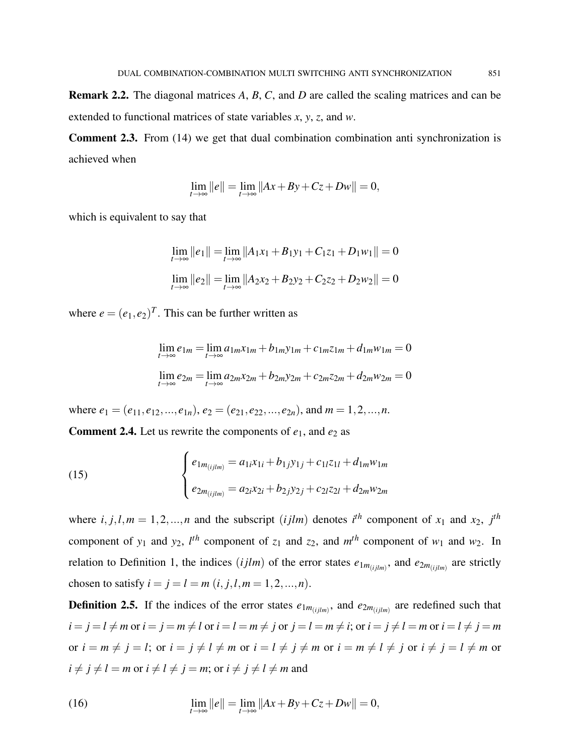Comment 2.3. From (14) we get that dual combination combination anti synchronization is achieved when

$$
\lim_{t \to \infty} ||e|| = \lim_{t \to \infty} ||Ax + By + Cz + Dw|| = 0,
$$

which is equivalent to say that

$$
\lim_{t \to \infty} ||e_1|| = \lim_{t \to \infty} ||A_1x_1 + B_1y_1 + C_1z_1 + D_1w_1|| = 0
$$
  

$$
\lim_{t \to \infty} ||e_2|| = \lim_{t \to \infty} ||A_2x_2 + B_2y_2 + C_2z_2 + D_2w_2|| = 0
$$

where  $e = (e_1, e_2)^T$ . This can be further written as

$$
\lim_{t \to \infty} e_{1m} = \lim_{t \to \infty} a_{1m} x_{1m} + b_{1m} y_{1m} + c_{1m} z_{1m} + d_{1m} w_{1m} = 0
$$
  

$$
\lim_{t \to \infty} e_{2m} = \lim_{t \to \infty} a_{2m} x_{2m} + b_{2m} y_{2m} + c_{2m} z_{2m} + d_{2m} w_{2m} = 0
$$

where  $e_1 = (e_{11}, e_{12},...,e_{1n}), e_2 = (e_{21}, e_{22},...,e_{2n}),$  and  $m = 1, 2,...,n$ .

**Comment 2.4.** Let us rewrite the components of  $e_1$ , and  $e_2$  as

(15) 
$$
\begin{cases} e_{1m_{(ijlm)}} = a_{1i}x_{1i} + b_{1j}y_{1j} + c_{1l}z_{1l} + d_{1m}w_{1m} \\ e_{2m_{(ijlm)}} = a_{2i}x_{2i} + b_{2j}y_{2j} + c_{2l}z_{2l} + d_{2m}w_{2m} \end{cases}
$$

where  $i, j, l, m = 1, 2, \ldots, n$  and the subscript (*ijlm*) denotes  $i^{th}$  component of  $x_1$  and  $x_2$ ,  $j^{th}$ component of  $y_1$  and  $y_2$ ,  $l^{th}$  component of  $z_1$  and  $z_2$ , and  $m^{th}$  component of  $w_1$  and  $w_2$ . In relation to Definition 1, the indices  $(ijlm)$  of the error states  $e_{1m_{(ijlm)}}$ , and  $e_{2m_{(ijlm)}}$  are strictly chosen to satisfy  $i = j = l = m$   $(i, j, l, m = 1, 2, ..., n)$ .

**Definition 2.5.** If the indices of the error states  $e_{1m_{(ijlm)}}$ , and  $e_{2m_{(ijlm)}}$  are redefined such that  $i = j = l \neq m$  or  $i = j = m \neq l$  or  $i = l = m \neq j$  or  $j = l = m \neq i$ ; or  $i = j \neq l = m$  or  $i = l \neq j = m$ or  $i = m \neq j = l$ ; or  $i = j \neq l \neq m$  or  $i = l \neq j \neq m$  or  $i = m \neq l \neq j$  or  $i \neq j = l \neq m$  or  $i \neq j \neq l = m$  or  $i \neq l \neq j = m$ ; or  $i \neq j \neq l \neq m$  and

(16) 
$$
\lim_{t \to \infty} ||e|| = \lim_{t \to \infty} ||Ax + By + Cz + Dw|| = 0,
$$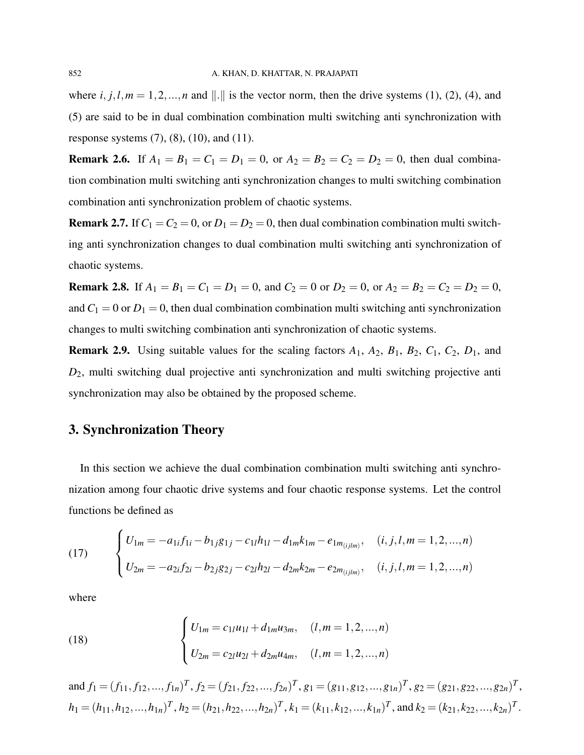where  $i, j, l, m = 1, 2, \dots, n$  and  $\|\cdot\|$  is the vector norm, then the drive systems (1), (2), (4), and (5) are said to be in dual combination combination multi switching anti synchronization with response systems  $(7)$ ,  $(8)$ ,  $(10)$ , and  $(11)$ .

**Remark 2.6.** If  $A_1 = B_1 = C_1 = D_1 = 0$ , or  $A_2 = B_2 = C_2 = D_2 = 0$ , then dual combination combination multi switching anti synchronization changes to multi switching combination combination anti synchronization problem of chaotic systems.

**Remark 2.7.** If  $C_1 = C_2 = 0$ , or  $D_1 = D_2 = 0$ , then dual combination combination multi switching anti synchronization changes to dual combination multi switching anti synchronization of chaotic systems.

**Remark 2.8.** If  $A_1 = B_1 = C_1 = D_1 = 0$ , and  $C_2 = 0$  or  $D_2 = 0$ , or  $A_2 = B_2 = C_2 = D_2 = 0$ , and  $C_1 = 0$  or  $D_1 = 0$ , then dual combination combination multi switching anti synchronization changes to multi switching combination anti synchronization of chaotic systems.

**Remark 2.9.** Using suitable values for the scaling factors  $A_1$ ,  $A_2$ ,  $B_1$ ,  $B_2$ ,  $C_1$ ,  $C_2$ ,  $D_1$ , and *D*2, multi switching dual projective anti synchronization and multi switching projective anti synchronization may also be obtained by the proposed scheme.

### 3. Synchronization Theory

In this section we achieve the dual combination combination multi switching anti synchronization among four chaotic drive systems and four chaotic response systems. Let the control functions be defined as

(17) 
$$
\begin{cases} U_{1m} = -a_{1i}f_{1i} - b_{1j}g_{1j} - c_{1l}h_{1l} - d_{1m}k_{1m} - e_{1m_{(ijlm)}}, & (i, j, l, m = 1, 2, ..., n) \\ U_{2m} = -a_{2i}f_{2i} - b_{2j}g_{2j} - c_{2l}h_{2l} - d_{2m}k_{2m} - e_{2m_{(ijlm)}}, & (i, j, l, m = 1, 2, ..., n) \end{cases}
$$

where

(18) 
$$
\begin{cases} U_{1m} = c_{1l}u_{1l} + d_{1m}u_{3m}, & (l,m = 1,2,...,n) \\ U_{2m} = c_{2l}u_{2l} + d_{2m}u_{4m}, & (l,m = 1,2,...,n) \end{cases}
$$

and  $f_1 = (f_{11}, f_{12},..., f_{1n})^T$ ,  $f_2 = (f_{21}, f_{22},..., f_{2n})^T$ ,  $g_1 = (g_{11}, g_{12},..., g_{1n})^T$ ,  $g_2 = (g_{21}, g_{22},..., g_{2n})^T$ ,  $h_1 = (h_{11}, h_{12}, ..., h_{1n})^T$ ,  $h_2 = (h_{21}, h_{22}, ..., h_{2n})^T$ ,  $k_1 = (k_{11}, k_{12}, ..., k_{1n})^T$ , and  $k_2 = (k_{21}, k_{22}, ..., k_{2n})^T$ .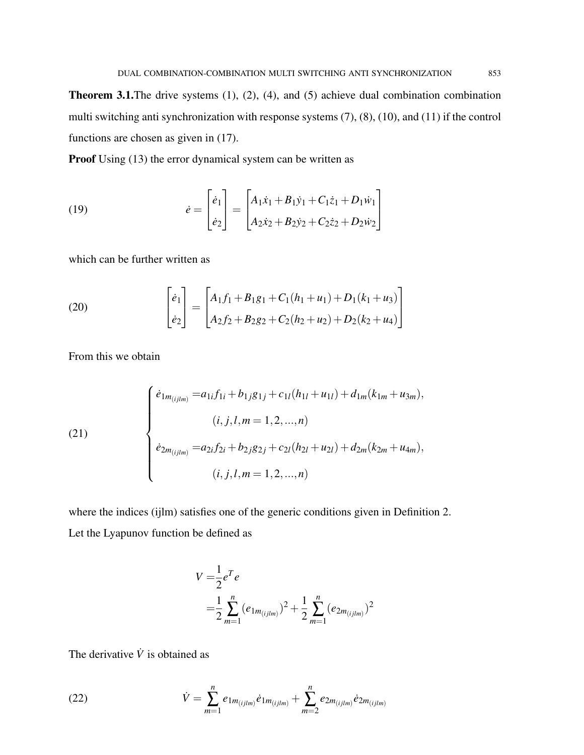Theorem 3.1.The drive systems (1), (2), (4), and (5) achieve dual combination combination multi switching anti synchronization with response systems (7), (8), (10), and (11) if the control functions are chosen as given in (17).

Proof Using (13) the error dynamical system can be written as

(19) 
$$
\dot{e} = \begin{bmatrix} \dot{e}_1 \\ \dot{e}_2 \end{bmatrix} = \begin{bmatrix} A_1\dot{x}_1 + B_1\dot{y}_1 + C_1\dot{z}_1 + D_1\dot{w}_1 \\ A_2\dot{x}_2 + B_2\dot{y}_2 + C_2\dot{z}_2 + D_2\dot{w}_2 \end{bmatrix}
$$

which can be further written as

(20) 
$$
\begin{bmatrix} \dot{e}_1 \\ \dot{e}_2 \end{bmatrix} = \begin{bmatrix} A_1f_1 + B_1g_1 + C_1(h_1 + u_1) + D_1(k_1 + u_3) \\ A_2f_2 + B_2g_2 + C_2(h_2 + u_2) + D_2(k_2 + u_4) \end{bmatrix}
$$

From this we obtain

(21)  

$$
\begin{cases}\n\dot{e}_{1m_{(ijlm)}} = a_{1i}f_{1i} + b_{1j}g_{1j} + c_{1l}(h_{1l} + u_{1l}) + d_{1m}(k_{1m} + u_{3m}), \\
(i, j, l, m = 1, 2, ..., n) \\
\dot{e}_{2m_{(ijlm)}} = a_{2i}f_{2i} + b_{2j}g_{2j} + c_{2l}(h_{2l} + u_{2l}) + d_{2m}(k_{2m} + u_{4m}), \\
(i, j, l, m = 1, 2, ..., n)\n\end{cases}
$$

where the indices (ijlm) satisfies one of the generic conditions given in Definition 2. Let the Lyapunov function be defined as

$$
V = \frac{1}{2}e^{T}e
$$
  
=  $\frac{1}{2}\sum_{m=1}^{n} (e_{1m_{(ijlm)}})^{2} + \frac{1}{2}\sum_{m=1}^{n} (e_{2m_{(ijlm)}})^{2}$ 

The derivative  $\dot{V}$  is obtained as

(22) 
$$
\dot{V} = \sum_{m=1}^{n} e_{1m_{(ijlm)}} \dot{e}_{1m_{(ijlm)}} + \sum_{m=2}^{n} e_{2m_{(ijlm)}} \dot{e}_{2m_{(ijlm)}}
$$

 $\overline{a}$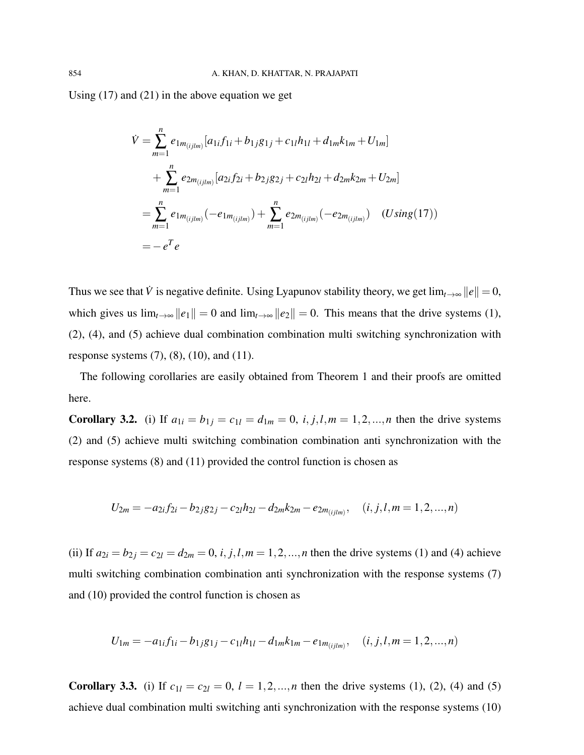Using (17) and (21) in the above equation we get

$$
\dot{V} = \sum_{m=1}^{n} e_{1m_{(ijlm)}} [a_{1i}f_{1i} + b_{1j}g_{1j} + c_{1l}h_{1l} + d_{1m}k_{1m} + U_{1m}] \n+ \sum_{m=1}^{n} e_{2m_{(ijlm)}} [a_{2i}f_{2i} + b_{2j}g_{2j} + c_{2l}h_{2l} + d_{2m}k_{2m} + U_{2m}] \n= \sum_{m=1}^{n} e_{1m_{(ijlm)}} (-e_{1m_{(ijlm)}}) + \sum_{m=1}^{n} e_{2m_{(ijlm)}} (-e_{2m_{(ijlm)}}) \quad (Using (17)) \n= - e^{T} e
$$

Thus we see that  $\dot{V}$  is negative definite. Using Lyapunov stability theory, we get  $\lim_{t\to\infty} ||e|| = 0$ , which gives us  $\lim_{t\to\infty} ||e_1|| = 0$  and  $\lim_{t\to\infty} ||e_2|| = 0$ . This means that the drive systems (1), (2), (4), and (5) achieve dual combination combination multi switching synchronization with response systems  $(7)$ ,  $(8)$ ,  $(10)$ , and  $(11)$ .

The following corollaries are easily obtained from Theorem 1 and their proofs are omitted here.

Corollary 3.2. (i) If  $a_{1i} = b_{1j} = c_{1l} = d_{1m} = 0$ ,  $i, j, l, m = 1, 2, ..., n$  then the drive systems (2) and (5) achieve multi switching combination combination anti synchronization with the response systems (8) and (11) provided the control function is chosen as

$$
U_{2m} = -a_{2i}f_{2i} - b_{2j}g_{2j} - c_{2l}h_{2l} - d_{2m}k_{2m} - e_{2m_{(ijlm)}}, \quad (i, j, l, m = 1, 2, ..., n)
$$

(ii) If  $a_{2i} = b_{2j} = c_{2l} = d_{2m} = 0$ , *i*, *j*,*l*,*m* = 1,2,...,*n* then the drive systems (1) and (4) achieve multi switching combination combination anti synchronization with the response systems (7) and (10) provided the control function is chosen as

$$
U_{1m} = -a_{1i}f_{1i} - b_{1j}g_{1j} - c_{1l}h_{1l} - d_{1m}k_{1m} - e_{1m(ijlm)}, \quad (i, j, l, m = 1, 2, ..., n)
$$

**Corollary 3.3.** (i) If  $c_{1l} = c_{2l} = 0$ ,  $l = 1, 2, ..., n$  then the drive systems (1), (2), (4) and (5) achieve dual combination multi switching anti synchronization with the response systems (10)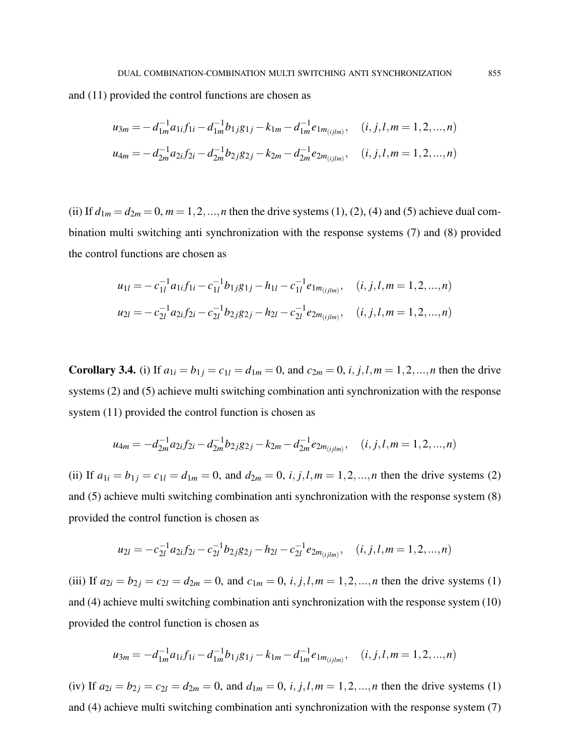and (11) provided the control functions are chosen as

$$
u_{3m} = -d_{1m}^{-1}a_{1i}f_{1i} - d_{1m}^{-1}b_{1j}g_{1j} - k_{1m} - d_{1m}^{-1}e_{1m_{(ijlm)}}, \quad (i, j, l, m = 1, 2, ..., n)
$$
  

$$
u_{4m} = -d_{2m}^{-1}a_{2i}f_{2i} - d_{2m}^{-1}b_{2j}g_{2j} - k_{2m} - d_{2m}^{-1}e_{2m_{(ijlm)}}, \quad (i, j, l, m = 1, 2, ..., n)
$$

(ii) If  $d_{1m} = d_{2m} = 0$ ,  $m = 1, 2, ..., n$  then the drive systems (1), (2), (4) and (5) achieve dual combination multi switching anti synchronization with the response systems (7) and (8) provided the control functions are chosen as

$$
u_{1l} = -c_{1l}^{-1} a_{1i} f_{1i} - c_{1l}^{-1} b_{1j} g_{1j} - h_{1l} - c_{1l}^{-1} e_{1m_{(ijlm)}}, \quad (i, j, l, m = 1, 2, ..., n)
$$
  

$$
u_{2l} = -c_{2l}^{-1} a_{2i} f_{2i} - c_{2l}^{-1} b_{2j} g_{2j} - h_{2l} - c_{2l}^{-1} e_{2m_{(ijlm)}}, \quad (i, j, l, m = 1, 2, ..., n)
$$

Corollary 3.4. (i) If  $a_{1i} = b_{1j} = c_{1l} = d_{1m} = 0$ , and  $c_{2m} = 0$ , *i*, *j*, *l*,  $m = 1, 2, ..., n$  then the drive systems (2) and (5) achieve multi switching combination anti synchronization with the response system  $(11)$  provided the control function is chosen as

$$
u_{4m} = -d_{2m}^{-1}a_{2i}f_{2i} - d_{2m}^{-1}b_{2j}g_{2j} - k_{2m} - d_{2m}^{-1}e_{2m_{(ijlm)}}, \quad (i, j, l, m = 1, 2, ..., n)
$$

(ii) If  $a_{1i} = b_{1j} = c_{1l} = d_{1m} = 0$ , and  $d_{2m} = 0$ , *i*, *j*, *l*,  $m = 1, 2, ..., n$  then the drive systems (2) and (5) achieve multi switching combination anti synchronization with the response system (8) provided the control function is chosen as

$$
u_{2l} = -c_{2l}^{-1} a_{2i} f_{2i} - c_{2l}^{-1} b_{2j} g_{2j} - h_{2l} - c_{2l}^{-1} e_{2m_{(ijlm)}}, \quad (i, j, l, m = 1, 2, ..., n)
$$

(iii) If  $a_{2i} = b_{2j} = c_{2l} = d_{2m} = 0$ , and  $c_{1m} = 0$ , *i*, *j*,*l*,*m* = 1,2,...,*n* then the drive systems (1) and (4) achieve multi switching combination anti synchronization with the response system (10) provided the control function is chosen as

$$
u_{3m} = -d_{1m}^{-1}a_{1i}f_{1i} - d_{1m}^{-1}b_{1j}g_{1j} - k_{1m} - d_{1m}^{-1}e_{1m_{(ijlm)}}, \quad (i, j, l, m = 1, 2, ..., n)
$$

(iv) If  $a_{2i} = b_{2j} = c_{2l} = d_{2m} = 0$ , and  $d_{1m} = 0$ , *i*, *j*,*l*,*m* = 1,2,...,*n* then the drive systems (1) and (4) achieve multi switching combination anti synchronization with the response system (7)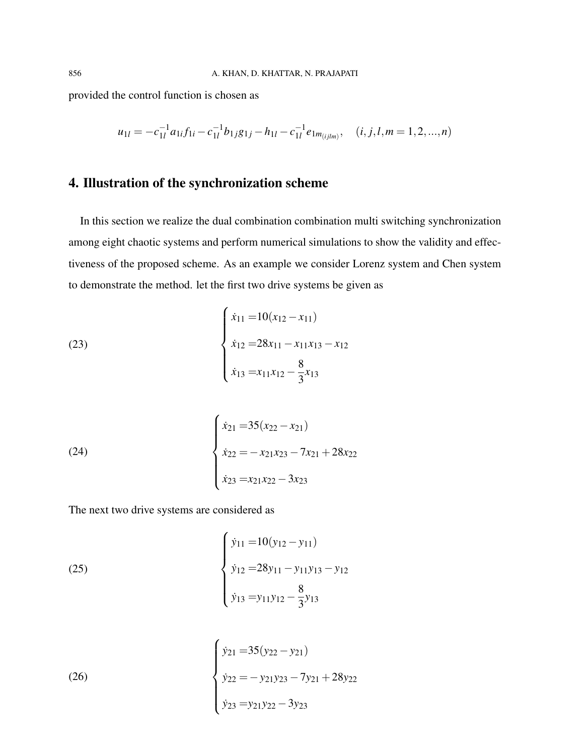provided the control function is chosen as

$$
u_{1l} = -c_{1l}^{-1}a_{1i}f_{1i} - c_{1l}^{-1}b_{1j}g_{1j} - h_{1l} - c_{1l}^{-1}e_{1m_{(ijlm)}}, \quad (i, j, l, m = 1, 2, ..., n)
$$

# 4. Illustration of the synchronization scheme

In this section we realize the dual combination combination multi switching synchronization among eight chaotic systems and perform numerical simulations to show the validity and effectiveness of the proposed scheme. As an example we consider Lorenz system and Chen system to demonstrate the method. let the first two drive systems be given as

(23)  

$$
\begin{cases}\n\dot{x}_{11} = 10(x_{12} - x_{11}) \\
\dot{x}_{12} = 28x_{11} - x_{11}x_{13} - x_{12} \\
\dot{x}_{13} = x_{11}x_{12} - \frac{8}{3}x_{13}\n\end{cases}
$$

(24)  

$$
\begin{cases}\n\dot{x}_{21} = 35(x_{22} - x_{21}) \\
\dot{x}_{22} = -x_{21}x_{23} - 7x_{21} + 28x_{22} \\
\dot{x}_{23} = x_{21}x_{22} - 3x_{23}\n\end{cases}
$$

The next two drive systems are considered as

(25)  

$$
\begin{cases}\n\dot{y}_{11} = 10(y_{12} - y_{11}) \\
\dot{y}_{12} = 28y_{11} - y_{11}y_{13} - y_{12} \\
\dot{y}_{13} = y_{11}y_{12} - \frac{8}{3}y_{13}\n\end{cases}
$$

(26)  

$$
\begin{cases}\n\dot{y}_{21} = 35(y_{22} - y_{21}) \\
\dot{y}_{22} = -y_{21}y_{23} - 7y_{21} + 28y_{22} \\
\dot{y}_{23} = y_{21}y_{22} - 3y_{23}\n\end{cases}
$$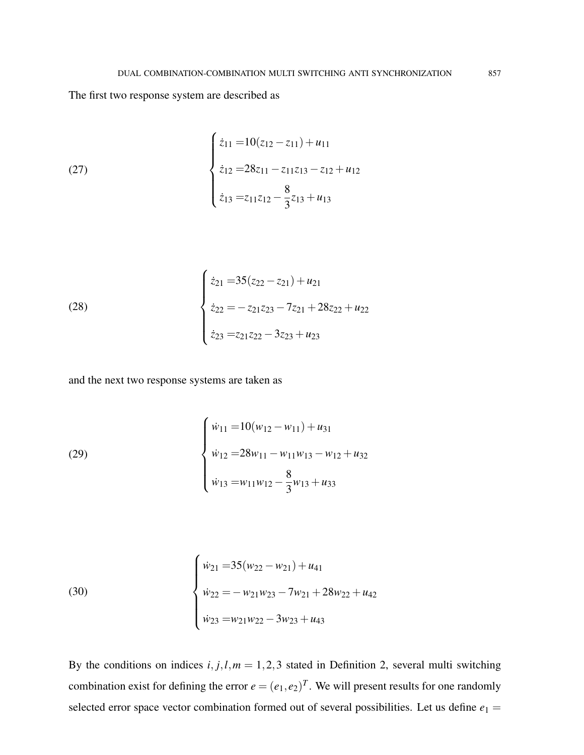The first two response system are described as

(27) 
$$
\begin{cases} \dot{z}_{11} = 10(z_{12} - z_{11}) + u_{11} \\ \dot{z}_{12} = 28z_{11} - z_{11}z_{13} - z_{12} + u_{12} \\ \dot{z}_{13} = z_{11}z_{12} - \frac{8}{3}z_{13} + u_{13} \end{cases}
$$

(28)  

$$
\begin{cases}\n\dot{z}_{21} = 35(z_{22} - z_{21}) + u_{21} \\
\dot{z}_{22} = -z_{21}z_{23} - 7z_{21} + 28z_{22} + u_{22} \\
\dot{z}_{23} = z_{21}z_{22} - 3z_{23} + u_{23}\n\end{cases}
$$

and the next two response systems are taken as

(29)  

$$
\begin{cases} \dot{w}_{11} = 10(w_{12} - w_{11}) + u_{31} \\ \dot{w}_{12} = 28w_{11} - w_{11}w_{13} - w_{12} + u_{32} \\ \dot{w}_{13} = w_{11}w_{12} - \frac{8}{3}w_{13} + u_{33} \end{cases}
$$

(30)  

$$
\begin{cases} \dot{w}_{21} = 35(w_{22} - w_{21}) + u_{41} \\ \dot{w}_{22} = -w_{21}w_{23} - 7w_{21} + 28w_{22} + u_{42} \\ \dot{w}_{23} = w_{21}w_{22} - 3w_{23} + u_{43} \end{cases}
$$

By the conditions on indices  $i, j, l, m = 1, 2, 3$  stated in Definition 2, several multi switching combination exist for defining the error  $e = (e_1, e_2)^T$ . We will present results for one randomly selected error space vector combination formed out of several possibilities. Let us define  $e_1 =$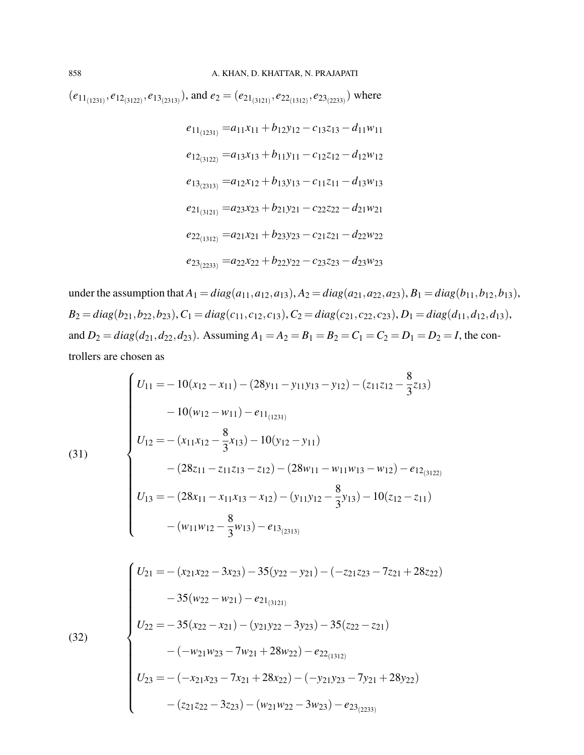$(e_{11_{(1231)}}, e_{12_{(3122)}}, e_{13_{(2313)}})$ , and  $e_2 = (e_{21_{(3121)}}, e_{22_{(1312)}}, e_{23_{(2233)}})$  where

$$
e_{11_{(1231)}} = a_{11}x_{11} + b_{12}y_{12} - c_{13}z_{13} - d_{11}w_{11}
$$
  
\n
$$
e_{12_{(3122)}} = a_{13}x_{13} + b_{11}y_{11} - c_{12}z_{12} - d_{12}w_{12}
$$
  
\n
$$
e_{13_{(2313)}} = a_{12}x_{12} + b_{13}y_{13} - c_{11}z_{11} - d_{13}w_{13}
$$
  
\n
$$
e_{21_{(3121)}} = a_{23}x_{23} + b_{21}y_{21} - c_{22}z_{22} - d_{21}w_{21}
$$
  
\n
$$
e_{22_{(1312)}} = a_{21}x_{21} + b_{23}y_{23} - c_{21}z_{21} - d_{22}w_{22}
$$
  
\n
$$
e_{23_{(2233)}} = a_{22}x_{22} + b_{22}y_{22} - c_{23}z_{23} - d_{23}w_{23}
$$

under the assumption that  $A_1 = diag(a_{11}, a_{12}, a_{13}), A_2 = diag(a_{21}, a_{22}, a_{23}), B_1 = diag(b_{11}, b_{12}, b_{13}),$  $B_2 = diag(b_{21}, b_{22}, b_{23}), C_1 = diag(c_{11}, c_{12}, c_{13}), C_2 = diag(c_{21}, c_{22}, c_{23}), D_1 = diag(d_{11}, d_{12}, d_{13}),$ and  $D_2 = diag(d_{21}, d_{22}, d_{23})$ . Assuming  $A_1 = A_2 = B_1 = B_2 = C_1 = C_2 = D_1 = D_2 = I$ , the controllers are chosen as

(31)  
\n
$$
\begin{cases}\nU_{11} = -10(x_{12} - x_{11}) - (28y_{11} - y_{11}y_{13} - y_{12}) - (z_{11}z_{12} - \frac{8}{3}z_{13}) \\
-10(w_{12} - w_{11}) - e_{11} & (z_{12}) \\
U_{12} = -(x_{11}x_{12} - \frac{8}{3}x_{13}) - 10(y_{12} - y_{11}) \\
- (28z_{11} - z_{11}z_{13} - z_{12}) - (28w_{11} - w_{11}w_{13} - w_{12}) - e_{12} & (z_{12}) \\
U_{13} = -(28x_{11} - x_{11}x_{13} - x_{12}) - (y_{11}y_{12} - \frac{8}{3}y_{13}) - 10(z_{12} - z_{11}) \\
- (w_{11}w_{12} - \frac{8}{3}w_{13}) - e_{13} & (z_{13})\n\end{cases}
$$

(32)  
\n
$$
\begin{cases}\nU_{21} = -(x_{21}x_{22} - 3x_{23}) - 35(y_{22} - y_{21}) - (-z_{21}z_{23} - 7z_{21} + 28z_{22}) \\
- 35(w_{22} - w_{21}) - e_{21_{(3121)}}\n\end{cases}
$$
\n
$$
(32)
$$
\n
$$
U_{22} = -35(x_{22} - x_{21}) - (y_{21}y_{22} - 3y_{23}) - 35(z_{22} - z_{21}) - (-w_{21}w_{23} - 7w_{21} + 28w_{22}) - e_{22_{(1312)}}\n\end{cases}
$$
\n
$$
U_{23} = -(-x_{21}x_{23} - 7x_{21} + 28x_{22}) - (-y_{21}y_{23} - 7y_{21} + 28y_{22}) - (z_{21}z_{22} - 3z_{23}) - (w_{21}w_{22} - 3w_{23}) - e_{23_{(2233)}}
$$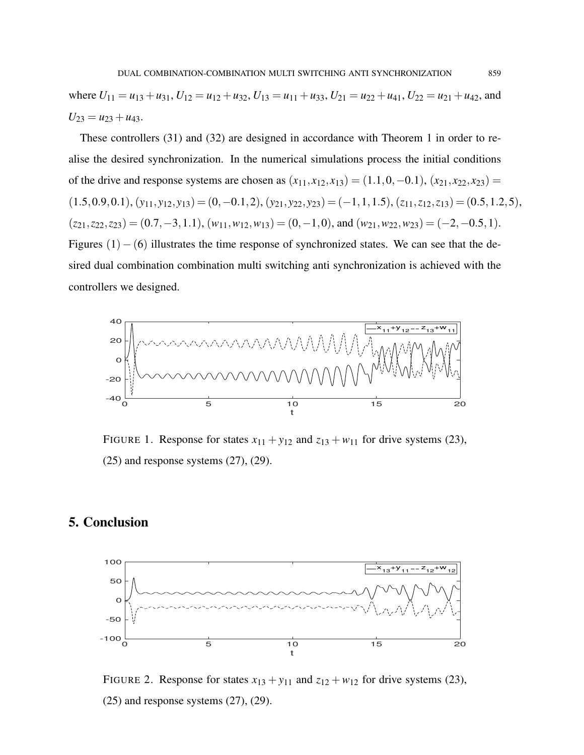where  $U_{11} = u_{13} + u_{31}$ ,  $U_{12} = u_{12} + u_{32}$ ,  $U_{13} = u_{11} + u_{33}$ ,  $U_{21} = u_{22} + u_{41}$ ,  $U_{22} = u_{21} + u_{42}$ , and  $U_{23} = u_{23} + u_{43}.$ 

These controllers (31) and (32) are designed in accordance with Theorem 1 in order to realise the desired synchronization. In the numerical simulations process the initial conditions of the drive and response systems are chosen as  $(x_{11}, x_{12}, x_{13}) = (1.1, 0, -0.1), (x_{21}, x_{22}, x_{23}) =$  $(1.5,0.9,0.1), (y_{11}, y_{12}, y_{13}) = (0,-0.1,2), (y_{21}, y_{22}, y_{23}) = (-1,1,1.5), (z_{11}, z_{12}, z_{13}) = (0.5,1.2,5),$  $(z_{21}, z_{22}, z_{23}) = (0.7, -3, 1.1), (w_{11}, w_{12}, w_{13}) = (0, -1, 0),$  and  $(w_{21}, w_{22}, w_{23}) = (-2, -0.5, 1).$ Figures  $(1) - (6)$  illustrates the time response of synchronized states. We can see that the desired dual combination combination multi switching anti synchronization is achieved with the controllers we designed.



FIGURE 1. Response for states  $x_{11} + y_{12}$  and  $z_{13} + w_{11}$  for drive systems (23),  $(25)$  and response systems  $(27)$ ,  $(29)$ .

# 5. Conclusion



FIGURE 2. Response for states  $x_{13} + y_{11}$  and  $z_{12} + w_{12}$  for drive systems (23),  $(25)$  and response systems  $(27)$ ,  $(29)$ .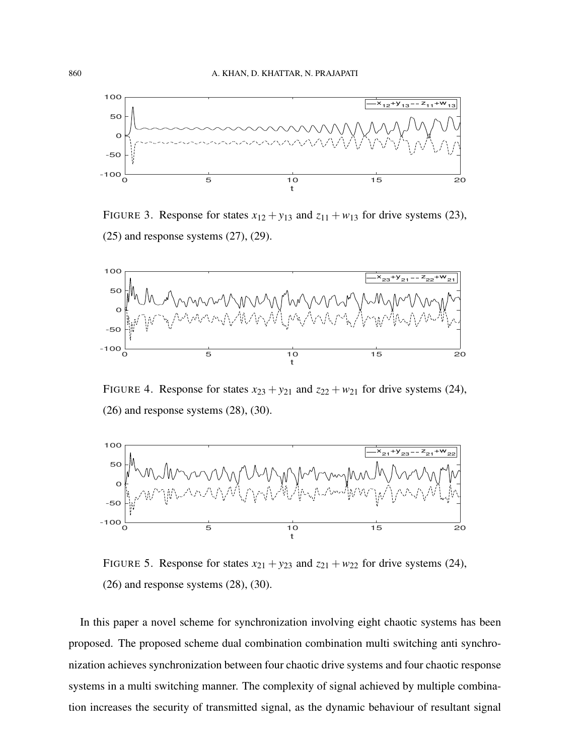

FIGURE 3. Response for states  $x_{12} + y_{13}$  and  $z_{11} + w_{13}$  for drive systems (23),  $(25)$  and response systems  $(27)$ ,  $(29)$ .



FIGURE 4. Response for states  $x_{23} + y_{21}$  and  $z_{22} + w_{21}$  for drive systems (24), (26) and response systems (28), (30).



FIGURE 5. Response for states  $x_{21} + y_{23}$  and  $z_{21} + w_{22}$  for drive systems (24), (26) and response systems (28), (30).

In this paper a novel scheme for synchronization involving eight chaotic systems has been proposed. The proposed scheme dual combination combination multi switching anti synchronization achieves synchronization between four chaotic drive systems and four chaotic response systems in a multi switching manner. The complexity of signal achieved by multiple combination increases the security of transmitted signal, as the dynamic behaviour of resultant signal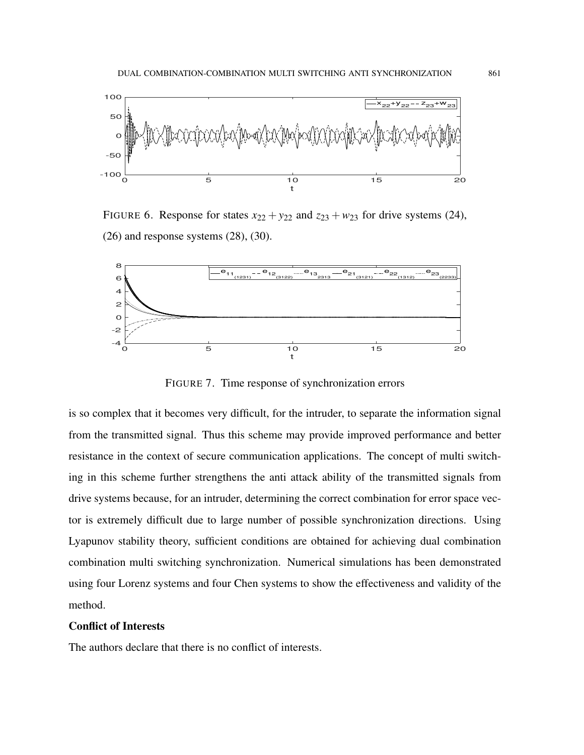

FIGURE 6. Response for states  $x_{22} + y_{22}$  and  $z_{23} + w_{23}$  for drive systems (24), (26) and response systems (28), (30).



FIGURE 7. Time response of synchronization errors

is so complex that it becomes very difficult, for the intruder, to separate the information signal from the transmitted signal. Thus this scheme may provide improved performance and better resistance in the context of secure communication applications. The concept of multi switching in this scheme further strengthens the anti attack ability of the transmitted signals from drive systems because, for an intruder, determining the correct combination for error space vector is extremely difficult due to large number of possible synchronization directions. Using Lyapunov stability theory, sufficient conditions are obtained for achieving dual combination combination multi switching synchronization. Numerical simulations has been demonstrated using four Lorenz systems and four Chen systems to show the effectiveness and validity of the method.

#### Conflict of Interests

The authors declare that there is no conflict of interests.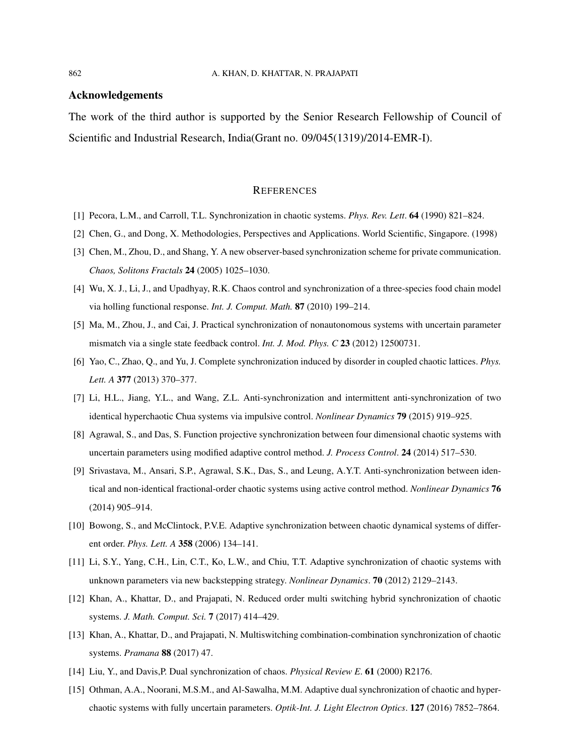#### Acknowledgements

The work of the third author is supported by the Senior Research Fellowship of Council of Scientific and Industrial Research, India(Grant no. 09/045(1319)/2014-EMR-I).

#### **REFERENCES**

- [1] Pecora, L.M., and Carroll, T.L. Synchronization in chaotic systems. *Phys. Rev. Lett*. 64 (1990) 821–824.
- [2] Chen, G., and Dong, X. Methodologies, Perspectives and Applications. World Scientific, Singapore. (1998)
- [3] Chen, M., Zhou, D., and Shang, Y. A new observer-based synchronization scheme for private communication. *Chaos, Solitons Fractals* 24 (2005) 1025–1030.
- [4] Wu, X. J., Li, J., and Upadhyay, R.K. Chaos control and synchronization of a three-species food chain model via holling functional response. *Int. J. Comput. Math.* 87 (2010) 199–214.
- [5] Ma, M., Zhou, J., and Cai, J. Practical synchronization of nonautonomous systems with uncertain parameter mismatch via a single state feedback control. *Int. J. Mod. Phys. C* 23 (2012) 12500731.
- [6] Yao, C., Zhao, Q., and Yu, J. Complete synchronization induced by disorder in coupled chaotic lattices. *Phys. Lett. A* 377 (2013) 370–377.
- [7] Li, H.L., Jiang, Y.L., and Wang, Z.L. Anti-synchronization and intermittent anti-synchronization of two identical hyperchaotic Chua systems via impulsive control. *Nonlinear Dynamics* 79 (2015) 919–925.
- [8] Agrawal, S., and Das, S. Function projective synchronization between four dimensional chaotic systems with uncertain parameters using modified adaptive control method. *J. Process Control*. 24 (2014) 517–530.
- [9] Srivastava, M., Ansari, S.P., Agrawal, S.K., Das, S., and Leung, A.Y.T. Anti-synchronization between identical and non-identical fractional-order chaotic systems using active control method. *Nonlinear Dynamics* 76 (2014) 905–914.
- [10] Bowong, S., and McClintock, P.V.E. Adaptive synchronization between chaotic dynamical systems of different order. *Phys. Lett. A* 358 (2006) 134–141.
- [11] Li, S.Y., Yang, C.H., Lin, C.T., Ko, L.W., and Chiu, T.T. Adaptive synchronization of chaotic systems with unknown parameters via new backstepping strategy. *Nonlinear Dynamics*. 70 (2012) 2129–2143.
- [12] Khan, A., Khattar, D., and Prajapati, N. Reduced order multi switching hybrid synchronization of chaotic systems. *J. Math. Comput. Sci.* 7 (2017) 414–429.
- [13] Khan, A., Khattar, D., and Prajapati, N. Multiswitching combination-combination synchronization of chaotic systems. *Pramana* 88 (2017) 47.
- [14] Liu, Y., and Davis,P. Dual synchronization of chaos. *Physical Review E*. 61 (2000) R2176.
- [15] Othman, A.A., Noorani, M.S.M., and Al-Sawalha, M.M. Adaptive dual synchronization of chaotic and hyperchaotic systems with fully uncertain parameters. *Optik-Int. J. Light Electron Optics*. 127 (2016) 7852–7864.